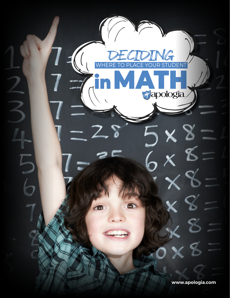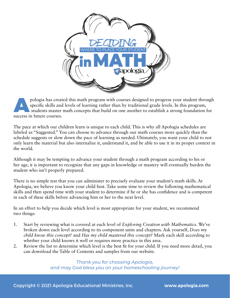

pologia has created this math program with courses designed to progress your student through<br>specific skills and levels of learning rather than by traditional grade levels. In this program,<br>students master math concepts th specific skills and levels of learning rather than by traditional grade levels. In this program, students master math concepts that build on one another to establish a strong foundation for success in future courses.

The pace at which our children learn is unique to each child. This is why all Apologia schedules are labeled as "Suggested." You can choose to advance through our math courses more quickly than the schedule suggests or slow down the pace of learning as needed. Ultimately, you want your child to not only learn the material but also internalize it, understand it, and be able to use it in its proper context in the world.

Although it may be tempting to advance your student through a math program according to his or her age, it is important to recognize that any gaps in knowledge or mastery will eventually burden the student who isn't properly prepared.

There is no simple test that you can administer to precisely evaluate your student's math skills. At Apologia, we believe you know your child best. Take some time to review the following mathematical skills and then spend time with your student to determine if he or she has confidence and is competent in each of these skills before advancing him or her to the next level.

In an effort to help you decide which level is most appropriate for your student, we recommend two things:

- 1. Start by reviewing what is covered at each level of *Exploring Creation with Mathematics.* We've broken down each level according to its component units and chapters. Ask yourself, *Does my child know this concept?* and *Has my child mastered this concept?* Mark each skill according to whether your child knows it well or requires more practice in this area.
- 2. Review the list to determine which level is the best fit for your child. If you need more detail, you can download the Table of Contents and samples from our website.

*Thank you for choosing Apologia, and may God bless you on your homeschooling journey!*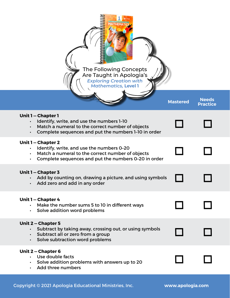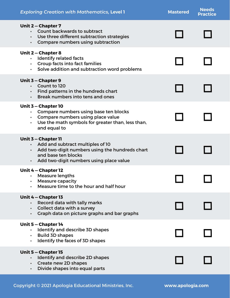| <b>Exploring Creation with Mathematics, Level 1</b>                                                                                                                                                   | <b>Mastered</b> | <b>Needs</b><br><b>Practice</b> |
|-------------------------------------------------------------------------------------------------------------------------------------------------------------------------------------------------------|-----------------|---------------------------------|
| <b>Unit 2 – Chapter 7</b><br>Count backwards to subtract<br>$\bullet$<br>• Use three different subtraction strategies<br>Compare numbers using subtraction<br>$\bullet$                               |                 |                                 |
| Unit 2 – Chapter 8<br><b>Identify related facts</b><br><b>Group facts into fact families</b><br>Solve addition and subtraction word problems<br>$\bullet$ . The set of $\bullet$                      |                 |                                 |
| Unit 3 - Chapter 9<br>Count to 120<br>$\bullet$<br>Find patterns in the hundreds chart<br>Break numbers into tens and ones<br>$\bullet$                                                               |                 |                                 |
| Unit 3 - Chapter 10<br>Compare numbers using base ten blocks<br>Compare numbers using place value<br>$\bullet$<br>Use the math symbols for greater than, less than,<br>and equal to                   |                 |                                 |
| Unit 3 – Chapter 11<br>Add and subtract multiples of 10<br>$\bullet$<br>Add two-digit numbers using the hundreds chart<br>and base ten blocks<br>Add two-digit numbers using place value<br>$\bullet$ |                 |                                 |
| Unit 4 – Chapter 12<br><b>Measure lengths</b><br><b>Measure capacity</b><br>$\bullet$<br>Measure time to the hour and half hour                                                                       |                 |                                 |
| Unit 4 – Chapter 13<br>Record data with tally marks<br>Collect data with a survey<br>$\bullet$<br>Graph data on picture graphs and bar graphs<br>$\bullet$                                            |                 |                                 |
| Unit 5 - Chapter 14<br>Identify and describe 3D shapes<br><b>Build 3D shapes</b><br>$\bullet$<br>Identify the faces of 3D shapes                                                                      |                 |                                 |
| Unit 5 – Chapter 15<br>Identify and describe 2D shapes<br>Create new 2D shapes<br>$\bullet$<br>Divide shapes into equal parts<br>$\bullet$                                                            |                 |                                 |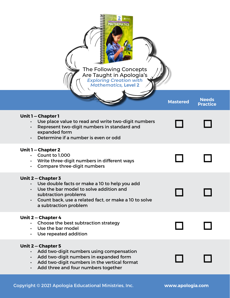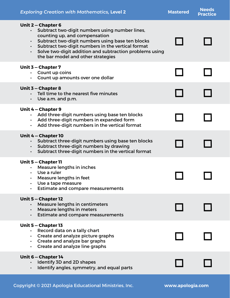| <b>Exploring Creation with Mathematics, Level 2</b>                                                                                                                                                                                                                                                                                                    | <b>Mastered</b> | <b>Needs</b><br><b>Practice</b> |
|--------------------------------------------------------------------------------------------------------------------------------------------------------------------------------------------------------------------------------------------------------------------------------------------------------------------------------------------------------|-----------------|---------------------------------|
| Unit 2 – Chapter 6<br>Subtract two-digit numbers using number lines,<br>$\bullet$<br>counting up, and compensation<br>Subtract two-digit numbers using base ten blocks<br>Subtract two-digit numbers in the vertical format<br>$\bullet$<br>Solve two-digit addition and subtraction problems using<br>$\bullet$<br>the bar model and other strategies |                 |                                 |
| Unit 3 - Chapter 7<br>$\cdot$ Count up coins<br>Count up amounts over one dollar                                                                                                                                                                                                                                                                       |                 |                                 |
| Unit 3 - Chapter 8<br>Tell time to the nearest five minutes<br>Use a.m. and p.m.<br>$\bullet$                                                                                                                                                                                                                                                          |                 |                                 |
| Unit 4 - Chapter 9<br>Add three-digit numbers using base ten blocks<br>$\bullet$ .<br>• Add three-digit numbers in expanded form<br>Add three-digit numbers in the vertical format                                                                                                                                                                     |                 |                                 |
| Unit 4 – Chapter 10<br>Subtract three-digit numbers using base ten blocks<br>Subtract three-digit numbers by drawing<br>$\bullet$<br>Subtract three-digit numbers in the vertical format<br>$\bullet$                                                                                                                                                  |                 |                                 |
| Unit 5 - Chapter 11<br>• Measure lengths in inches<br>Use a ruler<br>Measure lengths in feet<br>$\bullet$<br>Use a tape measure<br>Estimate and compare measurements                                                                                                                                                                                   |                 |                                 |
| Unit 5 - Chapter 12<br><b>Measure lengths in centimeters</b><br>Measure lengths in meters<br>$\bullet$<br><b>Estimate and compare measurements</b><br>$\bullet$                                                                                                                                                                                        |                 |                                 |
| Unit 5 - Chapter 13<br>Record data on a tally chart<br>Create and analyze picture graphs<br>Create and analyze bar graphs<br>$\bullet$<br>Create and analyze line graphs                                                                                                                                                                               |                 |                                 |
| Unit 6 - Chapter 14<br>Identify 3D and 2D shapes<br>Identify angles, symmetry, and equal parts                                                                                                                                                                                                                                                         |                 |                                 |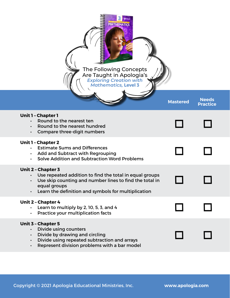